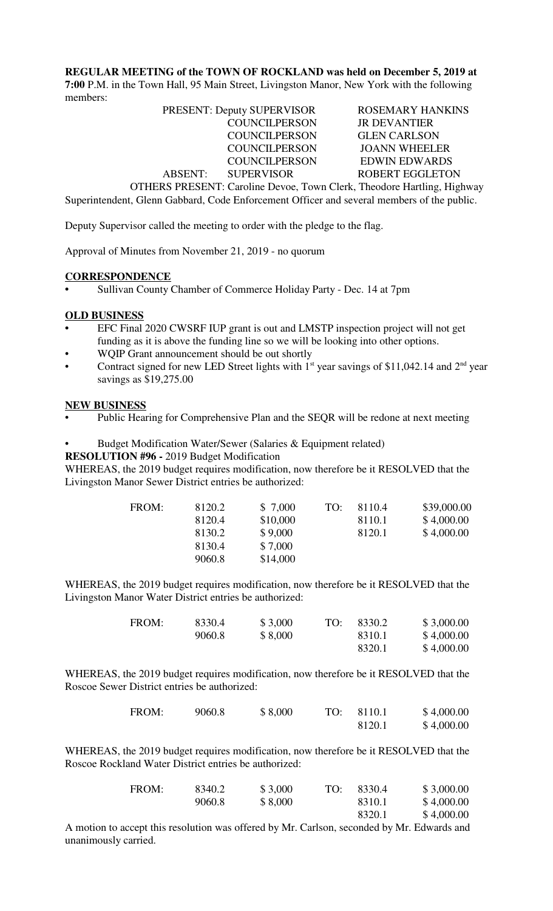**REGULAR MEETING of the TOWN OF ROCKLAND was held on December 5, 2019 at 7:00** P.M. in the Town Hall, 95 Main Street, Livingston Manor, New York with the following members:

|         | <b>PRESENT: Deputy SUPERVISOR</b>                                                                                                                                                                                                                | <b>ROSEMARY HANKINS</b> |
|---------|--------------------------------------------------------------------------------------------------------------------------------------------------------------------------------------------------------------------------------------------------|-------------------------|
|         | <b>COUNCILPERSON</b>                                                                                                                                                                                                                             | <b>JR DEVANTIER</b>     |
|         | <b>COUNCILPERSON</b>                                                                                                                                                                                                                             | <b>GLEN CARLSON</b>     |
|         | <b>COUNCILPERSON</b>                                                                                                                                                                                                                             | <b>JOANN WHEELER</b>    |
|         | <b>COUNCILPERSON</b>                                                                                                                                                                                                                             | <b>EDWIN EDWARDS</b>    |
| ABSENT: | <b>SUPERVISOR</b>                                                                                                                                                                                                                                | <b>ROBERT EGGLETON</b>  |
|         | $\overline{\text{OPTIPDP}}$ $\overline{\text{OPTNP}}$ , $\overline{\text{Coul}}$ $\overline{\text{Dou}}$ , $\overline{\text{Tou}}$ , $\overline{\text{Coul}}$ , $\overline{\text{Theodom}}$ $\overline{\text{Houlli}}$ , $\overline{\text{Hil}}$ |                         |

OTHERS PRESENT: Caroline Devoe, Town Clerk, Theodore Hartling, Highway Superintendent, Glenn Gabbard, Code Enforcement Officer and several members of the public.

Deputy Supervisor called the meeting to order with the pledge to the flag.

Approval of Minutes from November 21, 2019 - no quorum

### **CORRESPONDENCE**

**•** Sullivan County Chamber of Commerce Holiday Party - Dec. 14 at 7pm

#### **OLD BUSINESS**

- **•** EFC Final 2020 CWSRF IUP grant is out and LMSTP inspection project will not get funding as it is above the funding line so we will be looking into other options.
- WQIP Grant announcement should be out shortly
- Contract signed for new LED Street lights with  $1<sup>st</sup>$  year savings of \$11,042.14 and  $2<sup>nd</sup>$  year savings as \$19,275.00

#### **NEW BUSINESS**

- Public Hearing for Comprehensive Plan and the SEQR will be redone at next meeting
- Budget Modification Water/Sewer (Salaries & Equipment related)

**RESOLUTION #96 -** 2019 Budget Modification

WHEREAS, the 2019 budget requires modification, now therefore be it RESOLVED that the Livingston Manor Sewer District entries be authorized:

| FROM: | 8120.2 | \$7,000  | TO: | 8110.4 | \$39,000.00 |
|-------|--------|----------|-----|--------|-------------|
|       | 8120.4 | \$10,000 |     | 8110.1 | \$4,000.00  |
|       | 8130.2 | \$9,000  |     | 8120.1 | \$4,000.00  |
|       | 8130.4 | \$7,000  |     |        |             |
|       | 9060.8 | \$14,000 |     |        |             |
|       |        |          |     |        |             |

WHEREAS, the 2019 budget requires modification, now therefore be it RESOLVED that the Livingston Manor Water District entries be authorized:

| FROM: | 8330.4 | \$3,000 | TO: | 8330.2 | \$3,000.00 |
|-------|--------|---------|-----|--------|------------|
|       | 9060.8 | \$8,000 |     | 8310.1 | \$4,000.00 |
|       |        |         |     | 8320.1 | \$4,000.00 |

WHEREAS, the 2019 budget requires modification, now therefore be it RESOLVED that the Roscoe Sewer District entries be authorized:

| FROM: | 9060.8 | \$8,000 | TO: | 8110.1 | \$4,000.00 |
|-------|--------|---------|-----|--------|------------|
|       |        |         |     | 8120.1 | \$4,000.00 |

WHEREAS, the 2019 budget requires modification, now therefore be it RESOLVED that the Roscoe Rockland Water District entries be authorized:

| FROM: | 8340.2 | \$3,000 | TO: | 8330.4 | \$3,000.00 |
|-------|--------|---------|-----|--------|------------|
|       | 9060.8 | \$8,000 |     | 8310.1 | \$4,000.00 |
|       |        |         |     | 8320.1 | \$4,000.00 |

A motion to accept this resolution was offered by Mr. Carlson, seconded by Mr. Edwards and unanimously carried.